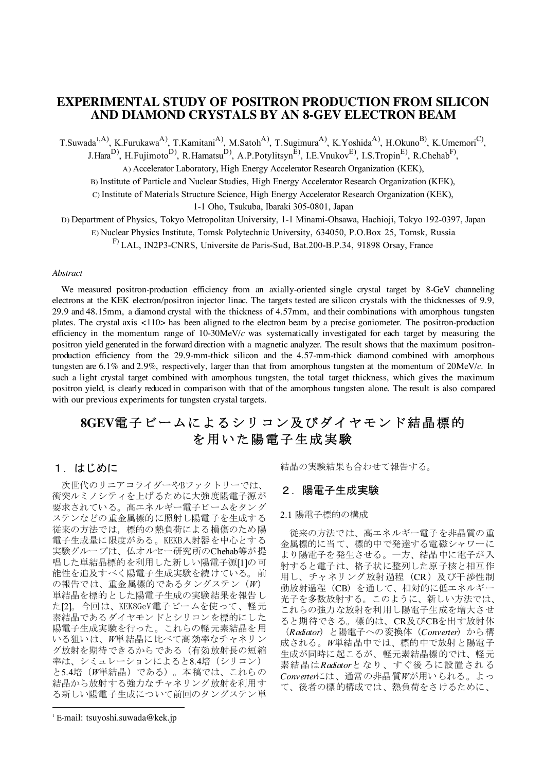## **EXPERIMENTAL STUDY OF POSITRON PRODUCTION FROM SILICON AND DIAMOND CRYSTALS BY AN 8-GEV ELECTRON BEAM**

T.Suwada<sup>1,A)</sup>, K.Furukawa<sup>A)</sup>, T.Kamitani<sup>A)</sup>, M.Satoh<sup>A)</sup>, T.Sugimura<sup>A)</sup>, K.Yoshida<sup>A)</sup>, H.Okuno<sup>B)</sup>, K.Umemori<sup>C)</sup>, J.Hara<sup>D)</sup>, H.Fujimoto<sup>D)</sup>, R.Hamatsu<sup>D)</sup>, A.P.Potylitsyn<sup>E)</sup>, I.E.Vnukov<sup>E)</sup>, I.S.Tropin<sup>E)</sup>, R.Chehab<sup>F)</sup>,

A) Accelerator Laboratory, High Energy Accelerator Research Organization (KEK),

B) Institute of Particle and Nuclear Studies, High Energy Accelerator Research Organization (KEK),

C) Institute of Materials Structure Science, High Energy Accelerator Research Organization (KEK),

1-1 Oho, Tsukuba, Ibaraki 305-0801, Japan

D) Department of Physics, Tokyo Metropolitan University, 1-1 Minami-Ohsawa, Hachioji, Tokyo 192-0397, Japan

E) Nuclear Physics Institute, Tomsk Polytechnic University, 634050, P.O.Box 25, Tomsk, Russia

F) LAL, IN2P3-CNRS, Universite de Paris-Sud, Bat.200-B.P.34, 91898 Orsay, France

#### *Abstract*

We measured positron-production efficiency from an axially-oriented single crystal target by 8-GeV channeling electrons at the KEK electron/positron injector linac. The targets tested are silicon crystals with the thicknesses of 9.9, 29.9 and 48.15mm, a diamond crystal with the thickness of 4.57mm, and their combinations with amorphous tungsten plates. The crystal axis <110> has been aligned to the electron beam by a precise goniometer. The positron-production efficiency in the momentum range of 10-30MeV/*c* was systematically investigated for each target by measuring the positron yield generated in the forward direction with a magnetic analyzer. The result shows that the maximum positronproduction efficiency from the 29.9-mm-thick silicon and the 4.57-mm-thick diamond combined with amorphous tungsten are 6.1% and 2.9%, respectively, larger than that from amorphous tungsten at the momentum of 20MeV/*c*. In such a light crystal target combined with amorphous tungsten, the total target thickness, which gives the maximum positron yield, is clearly reduced in comparison with that of the amorphous tungsten alone. The result is also compared with our previous experiments for tungsten crystal targets.

# 8GEV電子ビームによるシリコン及びダイヤモンド結晶標的 を用いた陽電子生成実験

## 1. はじめに

次世代のリニアコライダーやBファクトリーでは、 衝突ルミノシティを上げるために大強度陽電子源が 要求されている。高エネルギー電子ビームをタング ステンなどの重金属標的に照射し陽電子を生成する 従来の方法では、標的の熱負荷による損傷のため陽 電子生成量に限度がある。KEKB入射器を中心とする 実験グループは、仏オルセー研究所のChehab等が提 唱した単結晶標的を利用した新しい陽電子源[1]の可 能性を追及すべく陽電子生成実験を続けている。前 の報告では、重金属標的であるタングステン (W) 単結晶を標的とした陽電子生成の実験結果を報告し た[2]。今回は、KEK8GeV電子ビームを使って、軽元 素結晶であるダイヤモンドとシリコンを標的にした 陽電子生成実験を行った。これらの軽元素結晶を用 いる狙いは、W単結晶に比べて高効率なチャネリン グ放射を期待できるからである(有効放射長の短縮 率は、シミュレーションによると8.4培 (シリコン) と5.4培 (W単結晶) である)。本稿では、これらの 結晶から放射する強力なチャネリング放射を利用す る新しい陽電子生成について前回のタングステン単

1 E-mail: tsuyoshi.suwada@kek.jp

 $\overline{a}$ 

結晶の実験結果も合わせて報告する。

## 2. 陽電子生成実験

#### 2.1 陽電子標的の構成

従来の方法では、高エネルギー電子を非晶質の重 金属標的に当て、標的中で発達する電磁シャワーに より陽電子を発生させる。一方、結晶中に電子が入 射すると電子は、格子状に整列した原子核と相互作 用し、チャネリング放射過程 (CR) 及び干渉性制 動放射過程 (CB) を通して、相対的に低エネルギー 光子を多数放射する。このように、新しい方法では、 これらの強力な放射を利用し陽雷子生成を増大させ ると期待できる。標的は、CR及びCBを出す放射体 (Radiator) と陽電子への変換体 (Converter) から構 成される。W単結晶中では、標的中で放射と陽電子 生成が同時に起こるが、軽元素結晶標的では、軽元 素結晶はRadiatorとなり、すぐ後ろに設置される Converterには、通常の非晶質Wが用いられる。よっ て、後者の標的構成では、熱負荷をさけるために、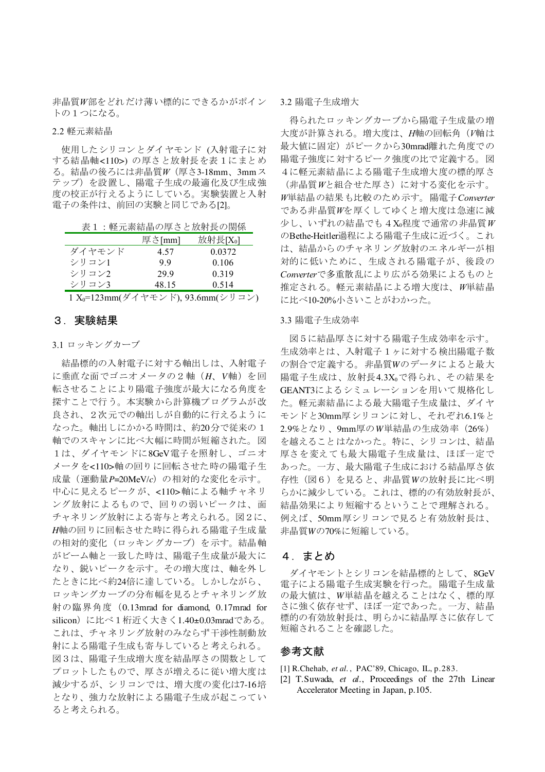非晶質W部をどれだけ薄い標的にできるかがポイン トの1つになる。

## 2.2 軽元素結晶

使用したシリコンとダイヤモンド (入射電子に対 する結晶軸<110>)の厚さと放射長を表1にまとめ る。結晶の後ろには非晶質*W*(厚さ3-18mm、3mmス テップ)を設置し、陽電子生成の最適化及び生成強 度の校正が行えるようにしている。実験装置と入射 電子の条件は、前回の実験と同じである[2]。

表1:軽元素結晶の厚さと放射長の関係

|        | 厚さ[mm]                                                                                             | 放射長[X <sub>0</sub> ] |
|--------|----------------------------------------------------------------------------------------------------|----------------------|
| ダイヤモンド | 4.57                                                                                               | 0.0372               |
| シリコン1  | 99                                                                                                 | 0.106                |
| シリコン2  | 299                                                                                                | 0.319                |
| シリコン3  | 48.15                                                                                              | 0.514                |
|        | $\mathbf{v} = \mathbf{v} \cdot \mathbf{v}$ . The set of $\mathbf{v} = \mathbf{v} \cdot \mathbf{v}$ | -------              |

1 X<sub>0</sub>=123mm(ダイヤモンド), 93.6mm(シリコン)

## 3. 実験結果

## 3.1 ロッキングカーブ

結晶標的の入射電子に対する軸出しは、入射電子 に垂直な面でゴニオメータの2軸 (H、V軸)を回 転させることにより陽電子強度が最大になる角度を 探すことで行う。本実験から計算機プログラムが改 良され、2次元での軸出しが自動的に行えるように なった。軸出しにかかる時間は、約20分で従来の1 軸でのスキャンに比べ大幅に時間が短縮された。図 1は、ダイヤモンドに8GeV電子を照射し、ゴニオ メータを<110>軸の回りに回転させた時の陽電子生 成量(運動量P=20MeV/c)の相対的な変化を示す。 中心に見えるピークが、<110>軸による軸チャネリ ング放射によるもので、回りの弱いピークは、面 チャネリング放射による寄与と考えられる。図2に、 H軸の回りに回転させた時に得られる陽電子生成量 の相対的変化 (ロッキングカーブ)を示す。結晶軸 がビーム軸と一致した時は、陽電子生成量が最大に なり、鋭いピークを示す。その増大度は、軸を外し たときに比べ約24倍に達している。しかしながら、 ロッキングカーブの分布幅を見るとチャネリング放 射の臨界角度 (0.13mrad for diamond, 0.17mrad for silicon)に比べ1桁近く大きく1.40±0.03mradである。 これは、チャネリング放射のみならず干渉性制動放 射による陽電子生成も寄与していると考えられる。 図3は、陽雷子生成増大度を結晶厚さの関数として プロットしたもので、厚さが増えるに従い増大度は 減少するが、シリコンでは、増大度の変化は7-16培 となり、強力な放射による陽電子生成が起こってい ると考えられる。

#### 3.2 陽電子生成増大

得られたロッキングカーブから陽電子生成量の増 大度が計算される。増大度は、H軸の回転角(V軸は 最大値に固定)がピークから30mrad離れた角度での 陽電子強度に対するピーク強度の比で定義する。図 4に軽元素結晶による陽電子生成増大度の標的厚さ (非晶質Wと組合せた厚さ)に対する変化を示す。

W単結晶の結果も比較のため示す。陽電子Converter である非晶質Wを厚くしてゆくと増大度は急速に減 少し、いずれの結晶でも4Xo程度で通常の非晶質W のBethe-Heitler過程による陽電子生成に近づく。これ は、結晶からのチャネリング放射のエネルギーが相 対的に低いために、生成される陽電子が、後段の Converterで多重散乱により広がる効果によるものと 推定される。軽元素結晶による増大度は、W単結晶 に比べ10-20%小さいことがわかった。

#### 3.3 陽電子生成効率

図5に結晶厚さに対する陽電子生成効率を示す。 生成効率とは、入射電子1ヶに対する検出陽電子数 の割合で定義する。非晶質Wのデータによると最大 陽電子生成は、放射長4.3Xgで得られ、その結果を GEANT3によるシミュレーションを用いて規格化し た。軽元素結晶による最大陽電子生成量は、ダイヤ モンドと30mm厚シリコンに対し、それぞれ6.1%と 2.9%となり、9mm厚のW単結晶の生成効率 (26%) を越えることはなかった。特に、シリコンは、結晶 厚さを変えても最大陽電子生成量は、ほぼ一定で あった。一方、最大陽電子生成における結晶厚さ依 存性(図6)を見ると、非晶質Wの放射長に比べ明 らかに減少している。これは、標的の有効放射長が、 結晶効果により短縮するということで理解される。 例えば、50mm厚シリコンで見ると有効放射長は、 非晶質Wの70%に短縮している。

## 4. まとめ

ダイヤモントとシリコンを結晶標的として、8GeV 電子による陽電子生成実験を行った。陽電子生成量 の最大値は、W単結晶を越えることはなく、標的厚 さに強く依存せず、ほぼ一定であった。一方、結晶 標的の有効放射長は、明らかに結晶厚さに依存して 短縮されることを確認した。

## 参考文献

- [1] R.Chehab. et al., PAC'89, Chicago, IL, p.283.
- [2] T.Suwada, et al., Proceedings of the 27th Linear Accelerator Meeting in Japan, p.105.